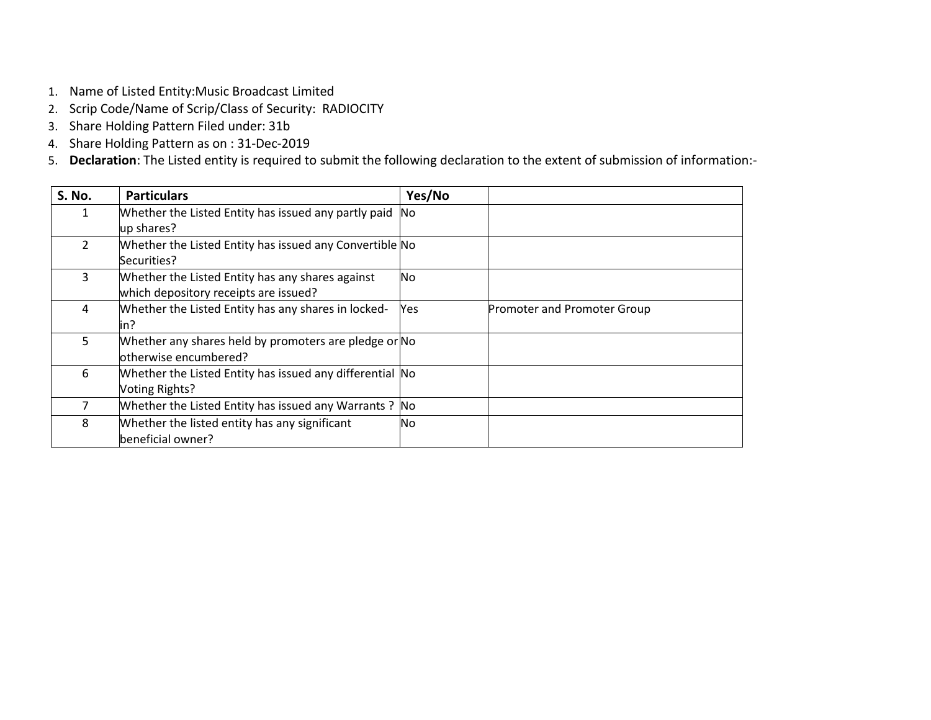- 1. Name of Listed Entity:Music Broadcast Limited
- 2. Scrip Code/Name of Scrip/Class of Security: RADIOCITY
- 3. Share Holding Pattern Filed under: 31b
- 4. Share Holding Pattern as on : 31-Dec-2019
- 5. **Declaration**: The Listed entity is required to submit the following declaration to the extent of submission of information:-

| <b>S. No.</b>  | <b>Particulars</b>                                       | Yes/No    |                                    |
|----------------|----------------------------------------------------------|-----------|------------------------------------|
| 1              | Whether the Listed Entity has issued any partly paid     | <b>No</b> |                                    |
|                | up shares?                                               |           |                                    |
| $\mathfrak{D}$ | Whether the Listed Entity has issued any Convertible No  |           |                                    |
|                | Securities?                                              |           |                                    |
| 3              | Whether the Listed Entity has any shares against         | No.       |                                    |
|                | which depository receipts are issued?                    |           |                                    |
| 4              | Whether the Listed Entity has any shares in locked-      | Yes       | <b>Promoter and Promoter Group</b> |
|                | lin?                                                     |           |                                    |
| 5              | Whether any shares held by promoters are pledge or No    |           |                                    |
|                | otherwise encumbered?                                    |           |                                    |
| 6              | Whether the Listed Entity has issued any differential No |           |                                    |
|                | Voting Rights?                                           |           |                                    |
|                | Whether the Listed Entity has issued any Warrants?       | No.       |                                    |
| 8              | Whether the listed entity has any significant            | No        |                                    |
|                | beneficial owner?                                        |           |                                    |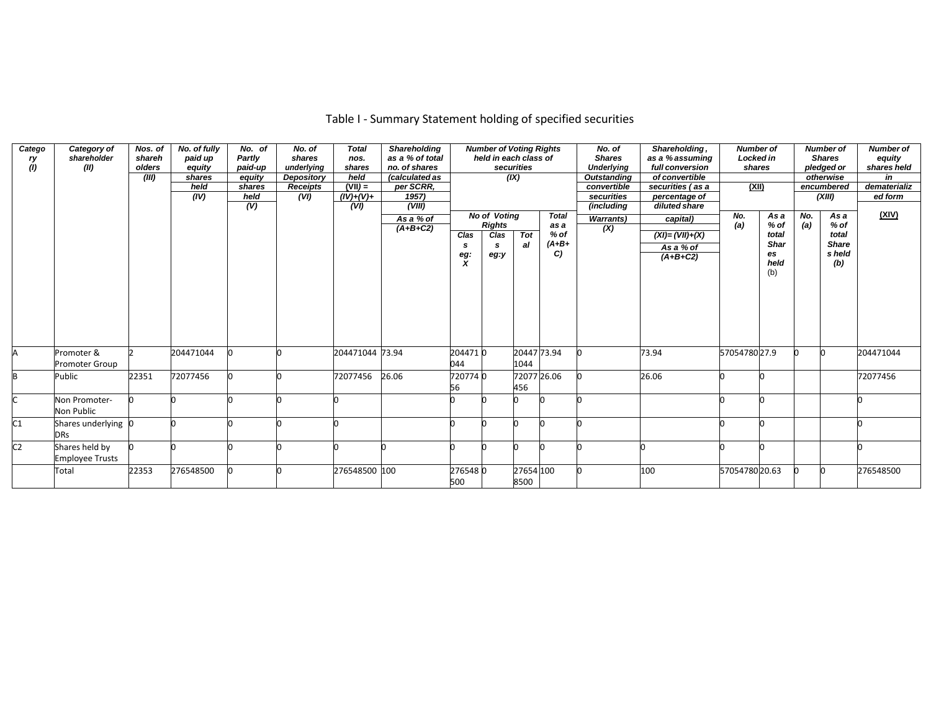| Catego<br>ry<br>(1) | Category of<br>shareholder<br>(II)       | Nos. of<br>shareh<br>olders<br>(III) | No. of fully<br>paid up<br>equity<br>shares<br>held<br>(IV) | No. of<br>Partly<br>paid-up<br>equity<br>shares<br>held<br>(V) | No. of<br>shares<br>underlying<br>Depository<br><b>Receipts</b><br>(VI) | <b>Total</b><br>nos.<br>shares<br>held<br>$(VII) =$<br>$(IV)+(V)+$<br>(VI) | <b>Shareholding</b><br>as a % of total<br>no. of shares<br>(calculated as<br>per SCRR,<br>1957<br>(VIII) |                                      | <b>Number of Voting Rights</b><br>held in each class of   | securities<br>(X)   |                                                 | No. of<br><b>Shares</b><br><b>Underlying</b><br>Outstanding<br>convertible<br>securities<br>(including | Shareholding,<br>as a % assuming<br>full conversion<br>of convertible<br>securities (as a<br>percentage of<br>diluted share | <b>Number of</b><br><b>Locked in</b><br>shares<br>(XII) |                                                    |            | <b>Number of</b><br><b>Shares</b><br>pledged or<br>otherwise<br>encumbered<br>(XIII) | <b>Number of</b><br>equity<br>shares held<br>in<br>dematerializ<br>ed form |
|---------------------|------------------------------------------|--------------------------------------|-------------------------------------------------------------|----------------------------------------------------------------|-------------------------------------------------------------------------|----------------------------------------------------------------------------|----------------------------------------------------------------------------------------------------------|--------------------------------------|-----------------------------------------------------------|---------------------|-------------------------------------------------|--------------------------------------------------------------------------------------------------------|-----------------------------------------------------------------------------------------------------------------------------|---------------------------------------------------------|----------------------------------------------------|------------|--------------------------------------------------------------------------------------|----------------------------------------------------------------------------|
|                     |                                          |                                      |                                                             |                                                                |                                                                         |                                                                            | As a % of<br>$(A+B+C2)$                                                                                  | Clas<br>s<br>eg:<br>$\boldsymbol{x}$ | <b>No of Votina</b><br><b>Rights</b><br>Clas<br>s<br>eg:y | <b>Tot</b><br>al    | <b>Total</b><br>as a<br>$%$ of<br>$(A+B+$<br>C) | <b>Warrants</b> )<br>$\overline{(\mathsf{X})}$                                                         | capital)<br>$(XI) = (VII) + (X)$<br>As a % of<br>$(A+B+C2)$                                                                 | No.<br>(a)                                              | As a<br>% of<br>total<br>Shar<br>es<br>held<br>(b) | No.<br>(a) | As a<br>% of<br>total<br><b>Share</b><br>s held<br>(b)                               | (XIV)                                                                      |
|                     | Promoter &<br><b>Promoter Group</b>      |                                      | 204471044                                                   |                                                                |                                                                         | 204471044 73.94                                                            |                                                                                                          | 2044710<br>044                       |                                                           | 20447 73.94<br>1044 |                                                 |                                                                                                        | 73.94                                                                                                                       | 5705478027.9                                            |                                                    |            |                                                                                      | 204471044                                                                  |
| B                   | Public                                   | 22351                                | 72077456                                                    |                                                                |                                                                         | 72077456                                                                   | 26.06                                                                                                    | 7207740<br>56                        |                                                           | 72077 26.06<br>456  |                                                 |                                                                                                        | 26.06                                                                                                                       |                                                         |                                                    |            |                                                                                      | 72077456                                                                   |
|                     | Non Promoter-<br>Non Public              |                                      |                                                             |                                                                |                                                                         |                                                                            |                                                                                                          |                                      |                                                           |                     |                                                 |                                                                                                        |                                                                                                                             |                                                         |                                                    |            |                                                                                      |                                                                            |
| C1                  | Shares underlying 0<br><b>DRs</b>        |                                      |                                                             |                                                                |                                                                         |                                                                            |                                                                                                          |                                      |                                                           |                     |                                                 |                                                                                                        |                                                                                                                             |                                                         |                                                    |            |                                                                                      |                                                                            |
| C <sub>2</sub>      | Shares held by<br><b>Employee Trusts</b> |                                      |                                                             |                                                                |                                                                         |                                                                            |                                                                                                          |                                      |                                                           |                     |                                                 |                                                                                                        |                                                                                                                             |                                                         |                                                    |            |                                                                                      |                                                                            |
|                     | Total                                    | 22353                                | 276548500                                                   |                                                                |                                                                         | 276548500 100                                                              |                                                                                                          | 2765480<br>500                       |                                                           | 27654 100<br>8500   |                                                 |                                                                                                        | 100                                                                                                                         | 5705478020.63                                           |                                                    |            |                                                                                      | 276548500                                                                  |

## Table I - Summary Statement holding of specified securities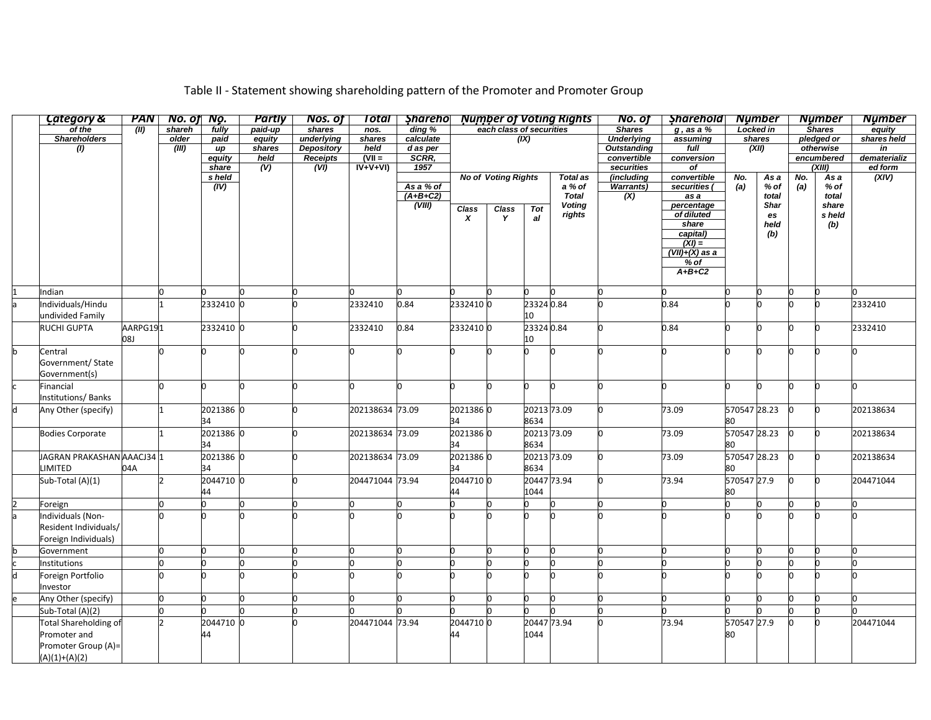| Category &                 | PAN      | No. of No. |                 | <b>Partly</b> | <b>Nos. of</b>    | Total                 | Shareho       |                  |                            |             | <b>Number of Voting Rights</b> | No. of                    | <b>Sharehold</b>         |              | <b>Number</b> |          | <b>Number</b>        | <b>Number</b>           |
|----------------------------|----------|------------|-----------------|---------------|-------------------|-----------------------|---------------|------------------|----------------------------|-------------|--------------------------------|---------------------------|--------------------------|--------------|---------------|----------|----------------------|-------------------------|
| of the                     | (III)    | shareh     | fully           | paid-up       | shares            | nos.                  | ding %        |                  | each class of securities   |             |                                | <b>Shares</b>             | $g$ , as a $%$           |              | Locked in     |          | <b>Shares</b>        | equity                  |
| <b>Shareholders</b>        |          | older      | paid            | equity        | underlying        | shares                | calculate     |                  |                            | (IX)        |                                | <b>Underlying</b>         | assuming                 |              | shares        |          | pledged or           | shares held             |
| (1)                        |          | (III)      | иp              | shares        | <b>Depository</b> | held                  | d as per      |                  |                            |             |                                | <b>Outstanding</b>        | full                     |              | (XII)         |          | otherwise            | in                      |
|                            |          |            | equity<br>share | held<br>(V)   | Receipts<br>(VI)  | $(VII =$<br>$IV+V+VI$ | SCRR.<br>1957 |                  |                            |             |                                | convertible<br>securities | conversion<br>оf         |              |               |          | encumbered<br>(XIII) | dematerializ<br>ed form |
|                            |          |            | s held          |               |                   |                       |               |                  | <b>No of Voting Rights</b> |             | <b>Total as</b>                | (including                | convertible              | No.          | As a          | No.      | As a                 | (XIV)                   |
|                            |          |            | (IV)            |               |                   |                       | As a % of     |                  |                            |             | a % of                         | Warrants)                 | securities               | (a)          | % of          | (a)      | $%$ of               |                         |
|                            |          |            |                 |               |                   |                       | $(A+B+C2)$    |                  |                            |             | <b>Total</b>                   | (X)                       | as a                     |              | total         |          | total                |                         |
|                            |          |            |                 |               |                   |                       | (VIII)        | Class            | Class                      | Tot         | <b>Voting</b>                  |                           | percentage<br>of diluted |              | Shar          |          | share                |                         |
|                            |          |            |                 |               |                   |                       |               | $\boldsymbol{x}$ | Y                          | al          | rights                         |                           |                          |              | es            |          | s held               |                         |
|                            |          |            |                 |               |                   |                       |               |                  |                            |             |                                |                           | share                    |              | held          |          | (b)                  |                         |
|                            |          |            |                 |               |                   |                       |               |                  |                            |             |                                |                           | capital)<br>$(XI) =$     |              | (b)           |          |                      |                         |
|                            |          |            |                 |               |                   |                       |               |                  |                            |             |                                |                           | $(VII)+(X)$ as a         |              |               |          |                      |                         |
|                            |          |            |                 |               |                   |                       |               |                  |                            |             |                                |                           | $%$ of                   |              |               |          |                      |                         |
|                            |          |            |                 |               |                   |                       |               |                  |                            |             |                                |                           | $A+B+C2$                 |              |               |          |                      |                         |
|                            |          |            |                 |               |                   |                       |               |                  |                            |             |                                |                           |                          |              |               |          |                      |                         |
| Indian                     |          |            |                 |               |                   |                       |               |                  |                            |             |                                |                           |                          |              | n             |          |                      |                         |
| Individuals/Hindu          |          |            | 2332410 0       |               |                   | 2332410               | 0.84          | 2332410 0        |                            | 23324 0.84  |                                |                           | 0.84                     |              | 0             |          |                      | 2332410                 |
| undivided Family           |          |            |                 |               |                   |                       |               |                  |                            | 10          |                                |                           |                          |              |               |          |                      |                         |
| RUCHI GUPTA                | AARPG191 |            | 2332410 0       |               |                   | 2332410               | 0.84          | 2332410 0        |                            | 23324 0.84  |                                |                           | 0.84                     | n            | lo.           | n        |                      | 2332410                 |
|                            | U80      |            |                 |               |                   |                       |               |                  |                            | 10          |                                |                           |                          |              |               |          |                      |                         |
| Central                    |          |            |                 |               |                   |                       |               |                  |                            | h           | n                              |                           |                          | n            | l0.           | n        |                      |                         |
| Government/ State          |          |            |                 |               |                   |                       |               |                  |                            |             |                                |                           |                          |              |               |          |                      |                         |
| Government(s)              |          |            |                 |               |                   |                       |               |                  |                            |             |                                |                           |                          |              |               |          |                      |                         |
| Financial                  |          |            |                 | 'n            |                   |                       |               |                  |                            | O.          | O.                             |                           |                          | n            | O             | 'n       |                      |                         |
| Institutions/Banks         |          |            |                 |               |                   |                       |               |                  |                            |             |                                |                           |                          |              |               |          |                      |                         |
| Any Other (specify)        |          |            | 2021386 0       |               |                   | 202138634 73.09       |               | 20213860         |                            | 20213 73.09 |                                |                           | 73.09                    | 570547 28.23 |               |          |                      | 202138634               |
|                            |          |            | 34              |               |                   |                       |               | 34               |                            | 8634        |                                |                           |                          | 80           |               |          |                      |                         |
| <b>Bodies Corporate</b>    |          |            | 2021386 0       |               |                   | 202138634 73.09       |               | 20213860         |                            | 20213 73.09 |                                |                           | 73.09                    | 570547 28.23 |               | <b>n</b> |                      | 202138634               |
|                            |          |            | 34              |               |                   |                       |               | 34               |                            | 8634        |                                |                           |                          | 80           |               |          |                      |                         |
| JAGRAN PRAKASHAN AAACJ34 1 |          |            | 2021386 0       |               |                   | 202138634 73.09       |               | 20213860         |                            | 20213 73.09 |                                |                           | 73.09                    | 570547 28.23 |               |          |                      | 202138634               |
|                            | 04A      |            |                 |               |                   |                       |               |                  |                            | 8634        |                                |                           |                          |              |               |          |                      |                         |
| <b>LIMITED</b>             |          |            | 34              |               |                   |                       |               | 34               |                            |             |                                |                           |                          | 80           |               |          |                      |                         |
| Sub-Total (A)(1)           |          | l 2        | 2044710 0       |               |                   | 204471044 73.94       |               | 20447100         |                            |             | 20447 73.94                    |                           | 73.94                    | 570547 27.9  |               | lo.      |                      | 204471044               |
|                            |          |            | 44              |               |                   |                       |               | 44               |                            | 1044        |                                |                           |                          | 80           |               |          |                      |                         |
| Foreign                    |          |            |                 |               |                   |                       |               | n                |                            |             |                                |                           |                          |              |               |          |                      |                         |
| Individuals (Non-          |          |            |                 |               |                   |                       |               |                  |                            |             |                                |                           |                          |              |               |          |                      |                         |
| Resident Individuals/      |          |            |                 |               |                   |                       |               |                  |                            |             |                                |                           |                          |              |               |          |                      |                         |
| Foreign Individuals)       |          |            |                 |               |                   |                       |               |                  |                            |             |                                |                           |                          |              |               |          |                      |                         |
| Government                 |          |            |                 | 'n            |                   |                       |               |                  |                            |             |                                |                           |                          |              | n.            | n        |                      |                         |
| Institutions               |          |            |                 |               |                   |                       |               | n                |                            |             |                                |                           |                          |              |               |          |                      |                         |
| Foreign Portfolio          |          |            |                 |               |                   |                       |               |                  |                            |             |                                |                           |                          |              |               |          |                      |                         |
| Investor                   |          |            |                 |               |                   |                       |               |                  |                            |             |                                |                           |                          |              |               |          |                      |                         |
| Any Other (specify)        |          | U          |                 |               |                   |                       |               |                  |                            |             |                                |                           |                          |              |               |          |                      |                         |
| Sub-Total (A)(2)           |          |            |                 |               |                   |                       |               |                  |                            |             |                                |                           |                          |              |               |          |                      |                         |
| Total Shareholding of      |          |            | 2044710 0       |               |                   | 204471044 73.94       |               | 20447100         |                            | 20447 73.94 |                                |                           | 73.94                    | 570547 27.9  |               |          |                      | 204471044               |
| Promoter and               |          |            | 44              |               |                   |                       |               | 44               |                            | 1044        |                                |                           |                          | 80           |               |          |                      |                         |
| Promoter Group (A)=        |          |            |                 |               |                   |                       |               |                  |                            |             |                                |                           |                          |              |               |          |                      |                         |
| $(A)(1)+(A)(2)$            |          |            |                 |               |                   |                       |               |                  |                            |             |                                |                           |                          |              |               |          |                      |                         |

## Table II - Statement showing shareholding pattern of the Promoter and Promoter Group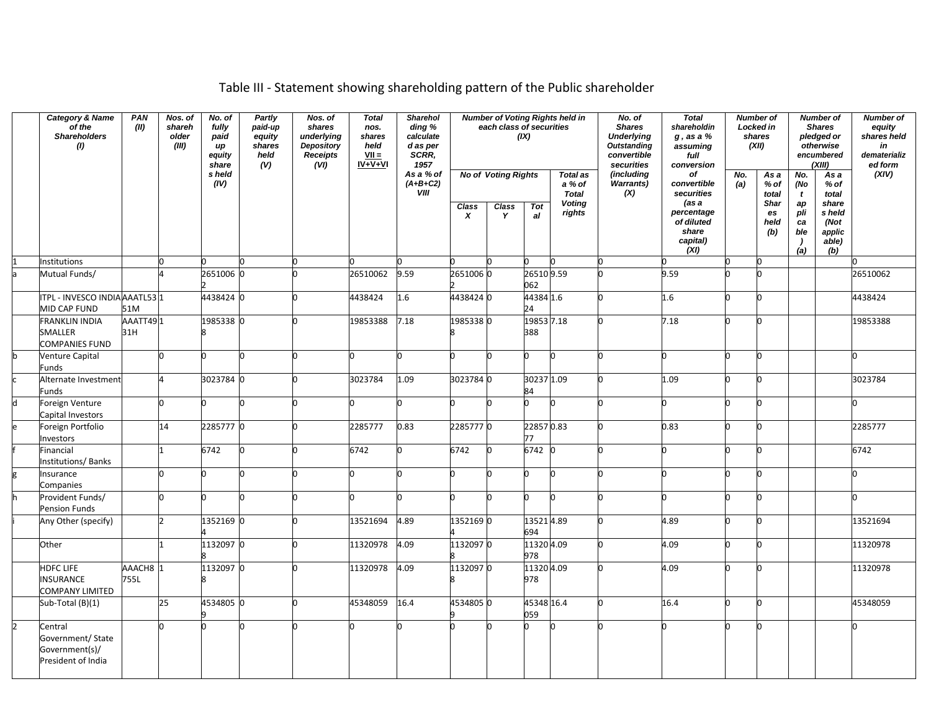## Table III - Statement showing shareholding pattern of the Public shareholder

|   | <b>Category &amp; Name</b><br>of the<br><b>Shareholders</b><br>(1)   | PAN<br>(II)                 | Nos. of<br>shareh<br>older<br>(III) | No. of<br>fully<br>paid<br>иp<br>equity<br>share<br>s held | <b>Partly</b><br>paid-up<br>equity<br>shares<br>held<br>(V) | Nos. of<br>shares<br>underlying<br>Depository<br><b>Receipts</b><br>(VI) | <b>Total</b><br>nos.<br>shares<br>held<br>$VII =$<br>$IV + V + VI$ | <b>Sharehol</b><br>ding %<br>calculate<br>d as per<br>SCRR.<br>1957<br>As a % of |                                  | each class of securities                        | (IX)              | <b>Number of Voting Rights held in</b>                               | No. of<br><b>Shares</b><br><b>Underlying</b><br><b>Outstanding</b><br>convertible<br>securities<br>(including | <b>Total</b><br>shareholdin<br>$g$ , as a $%$<br>assuming<br>full<br>conversion<br>of       |            | Number of<br>Locked in<br>shares<br>(XII)                  |                                                                               | <b>Number of</b><br><b>Shares</b><br>pledged or<br>otherwise<br>encumbered<br>(XIII) | <b>Number of</b><br>equity<br>shares held<br>in<br>dematerializ<br>ed form<br>(XIV) |
|---|----------------------------------------------------------------------|-----------------------------|-------------------------------------|------------------------------------------------------------|-------------------------------------------------------------|--------------------------------------------------------------------------|--------------------------------------------------------------------|----------------------------------------------------------------------------------|----------------------------------|-------------------------------------------------|-------------------|----------------------------------------------------------------------|---------------------------------------------------------------------------------------------------------------|---------------------------------------------------------------------------------------------|------------|------------------------------------------------------------|-------------------------------------------------------------------------------|--------------------------------------------------------------------------------------|-------------------------------------------------------------------------------------|
|   |                                                                      |                             |                                     | (IV)                                                       |                                                             |                                                                          |                                                                    | $(A+B+C2)$<br>VIII                                                               | <b>Class</b><br>$\boldsymbol{x}$ | <b>No of Voting Rights</b><br><b>Class</b><br>Y | <b>Tot</b><br>al  | <b>Total as</b><br>a % of<br><b>Total</b><br><b>Voting</b><br>rights | <b>Warrants)</b><br>(X)                                                                                       | convertible<br>securities<br>(as a<br>percentage<br>of diluted<br>share<br>capital)<br>(XI) | No.<br>(a) | Asa<br>$%$ of<br>total<br><b>Shar</b><br>es<br>held<br>(b) | No.<br>(No<br>$\mathbf{t}$<br>ap<br>pli<br>ca<br>ble<br>$\overline{)}$<br>(a) | Asa<br>% of<br>total<br>share<br>s held<br>(Not<br>applic<br>able)<br>(b)            |                                                                                     |
|   | Institutions                                                         |                             |                                     |                                                            |                                                             |                                                                          |                                                                    |                                                                                  |                                  |                                                 |                   |                                                                      |                                                                                                               |                                                                                             |            | n                                                          |                                                                               |                                                                                      |                                                                                     |
|   | Mutual Funds/                                                        |                             |                                     | 2651006 0                                                  |                                                             |                                                                          | 26510062                                                           | 9.59                                                                             | 26510060                         |                                                 | 26510 9.59<br>062 |                                                                      |                                                                                                               | 9.59                                                                                        |            | n                                                          |                                                                               |                                                                                      | 26510062                                                                            |
|   | ITPL - INVESCO INDIA AAATL53 1                                       |                             |                                     | 4438424 0                                                  |                                                             |                                                                          | 4438424                                                            | 1.6                                                                              | 44384240                         |                                                 | 44384 1.6         |                                                                      |                                                                                                               | 1.6                                                                                         | n          | n                                                          |                                                                               |                                                                                      | 4438424                                                                             |
|   | MID CAP FUND                                                         | 51M                         |                                     |                                                            |                                                             |                                                                          |                                                                    |                                                                                  |                                  |                                                 | 24                |                                                                      |                                                                                                               |                                                                                             |            |                                                            |                                                                               |                                                                                      |                                                                                     |
|   | <b>FRANKLIN INDIA</b><br>SMALLER<br><b>COMPANIES FUND</b>            | AAATT491<br>31H             |                                     | 1985338 0                                                  |                                                             |                                                                          | 19853388                                                           | 7.18                                                                             | 19853380                         |                                                 | 19853 7.18<br>388 |                                                                      |                                                                                                               | 7.18                                                                                        | n          | 0                                                          |                                                                               |                                                                                      | 19853388                                                                            |
|   | Venture Capital<br>Funds                                             |                             | n                                   | n                                                          |                                                             |                                                                          | 0.                                                                 |                                                                                  | n                                |                                                 | h                 | O.                                                                   |                                                                                                               | 'n                                                                                          | n          | n                                                          |                                                                               |                                                                                      | O                                                                                   |
|   | Alternate Investment<br><b>Funds</b>                                 |                             |                                     | 3023784 0                                                  |                                                             |                                                                          | 3023784                                                            | 1.09                                                                             | 3023784 0                        |                                                 | 30237 1.09<br>84  |                                                                      |                                                                                                               | 1.09                                                                                        | h          | n                                                          |                                                                               |                                                                                      | 3023784                                                                             |
| h | Foreign Venture<br>Capital Investors                                 |                             | n                                   |                                                            |                                                             |                                                                          | n                                                                  |                                                                                  |                                  |                                                 |                   |                                                                      |                                                                                                               | h                                                                                           | n          |                                                            |                                                                               |                                                                                      | n                                                                                   |
|   | Foreign Portfolio<br>Investors                                       |                             | 14                                  | 2285777 0                                                  |                                                             |                                                                          | 2285777                                                            | 0.83                                                                             | 22857770                         |                                                 | 22857 0.83<br>77  |                                                                      |                                                                                                               | 0.83                                                                                        | n          | n                                                          |                                                                               |                                                                                      | 2285777                                                                             |
|   | Financial<br>Institutions/Banks                                      |                             |                                     | 6742                                                       |                                                             |                                                                          | 6742                                                               |                                                                                  | 6742                             |                                                 | 6742 0            |                                                                      |                                                                                                               | n                                                                                           | n          | n                                                          |                                                                               |                                                                                      | 6742                                                                                |
|   | Insurance<br>Companies                                               |                             | n                                   |                                                            |                                                             |                                                                          | n                                                                  |                                                                                  |                                  |                                                 |                   |                                                                      |                                                                                                               | n                                                                                           | n          | n                                                          |                                                                               |                                                                                      | n                                                                                   |
|   | Provident Funds/<br><b>Pension Funds</b>                             |                             | h                                   | n                                                          |                                                             |                                                                          | n.                                                                 |                                                                                  |                                  |                                                 |                   |                                                                      |                                                                                                               | 'n                                                                                          | n          | n                                                          |                                                                               |                                                                                      | n                                                                                   |
|   | Any Other (specify)                                                  |                             |                                     | 1352169 0                                                  |                                                             |                                                                          | 13521694                                                           | 4.89                                                                             | 13521690                         |                                                 | 13521 4.89<br>694 |                                                                      |                                                                                                               | 4.89                                                                                        | lo.        | n                                                          |                                                                               |                                                                                      | 13521694                                                                            |
|   | Other                                                                |                             |                                     | 1132097 0                                                  |                                                             |                                                                          | 11320978                                                           | 4.09                                                                             | 1132097 0                        |                                                 | 11320 4.09<br>978 |                                                                      |                                                                                                               | 4.09                                                                                        | lo.        | n                                                          |                                                                               |                                                                                      | 11320978                                                                            |
|   | <b>HDFC LIFE</b><br><b>INSURANCE</b>                                 | AAACH8 <sup>1</sup><br>755L |                                     | 1132097 0                                                  |                                                             |                                                                          | 11320978                                                           | 4.09                                                                             | 11320970                         |                                                 | 11320 4.09<br>978 |                                                                      | 'n                                                                                                            | 4.09                                                                                        | l0.        | 0                                                          |                                                                               |                                                                                      | 11320978                                                                            |
|   | <b>COMPANY LIMITED</b>                                               |                             |                                     |                                                            |                                                             |                                                                          |                                                                    |                                                                                  |                                  |                                                 |                   |                                                                      |                                                                                                               |                                                                                             |            |                                                            |                                                                               |                                                                                      |                                                                                     |
|   | Sub-Total (B)(1)                                                     |                             | 25                                  | 4534805 0                                                  |                                                             |                                                                          | 45348059                                                           | 16.4                                                                             | 4534805 0                        |                                                 | 45348 16.4<br>059 |                                                                      |                                                                                                               | 16.4                                                                                        | lo.        | n                                                          |                                                                               |                                                                                      | 45348059                                                                            |
|   | Central<br>Government/ State<br>Government(s)/<br>President of India |                             | n                                   |                                                            |                                                             |                                                                          |                                                                    |                                                                                  |                                  |                                                 |                   |                                                                      |                                                                                                               |                                                                                             | h          | n                                                          |                                                                               |                                                                                      |                                                                                     |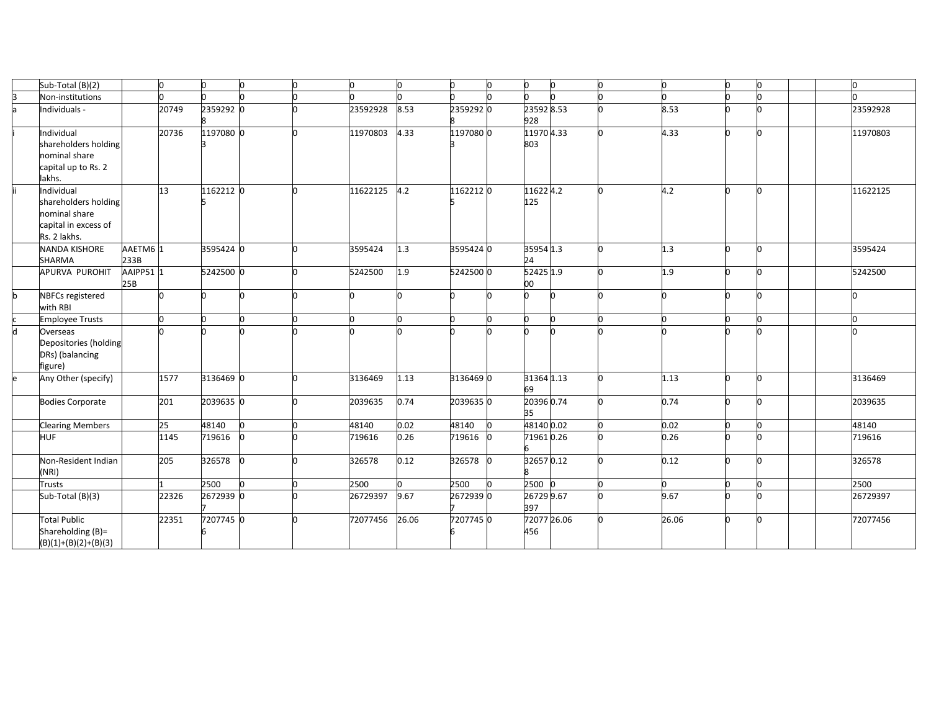|   | Sub-Total (B)(2)                                                                            |                             | 0     | lo.       | n |          | 'n    | O         | lo. | n                  | n. |       | l0. |          |
|---|---------------------------------------------------------------------------------------------|-----------------------------|-------|-----------|---|----------|-------|-----------|-----|--------------------|----|-------|-----|----------|
|   | Non-institutions                                                                            |                             |       |           |   |          |       |           |     |                    |    |       |     |          |
|   | Individuals -                                                                               |                             | 20749 | 2359292 0 |   | 23592928 | 8.53  | 23592920  |     | 23592 8.53<br>928  |    | 8.53  |     | 23592928 |
|   | Individual<br>shareholders holding<br>nominal share<br>capital up to Rs. 2<br>lakhs.        |                             | 20736 | 1197080 0 |   | 11970803 | 4.33  | 1197080 0 |     | 11970 4.33<br>803  |    | 4.33  | n   | 11970803 |
|   | Individual<br>shareholders holding<br>nominal share<br>capital in excess of<br>Rs. 2 lakhs. |                             | 13    | 1162212 0 |   | 11622125 | 4.2   | 11622120  |     | 116224.2<br>125    |    | 4.2   |     | 11622125 |
|   | NANDA KISHORE<br>SHARMA                                                                     | AAETM6 <sup>1</sup><br>233B |       | 3595424 0 |   | 3595424  | 1.3   | 3595424 0 |     | 35954 1.3<br>24    |    | 1.3   |     | 3595424  |
|   | APURVA PUROHIT                                                                              | AAIPP51 1<br>25B            |       | 5242500 0 |   | 5242500  | 1.9   | 5242500 0 |     | 52425 1.9<br>00    |    | 1.9   |     | 5242500  |
| h | <b>NBFCs registered</b><br>with RBI                                                         |                             |       |           |   |          |       |           |     |                    |    |       |     |          |
|   | <b>Imployee Trusts</b>                                                                      |                             | n     |           |   |          |       | n         |     |                    |    |       |     |          |
|   | Overseas<br>Depositories (holding<br>DRs) (balancing<br>figure)                             |                             |       |           |   |          |       |           |     |                    |    |       |     |          |
|   | Any Other (specify)                                                                         |                             | 1577  | 3136469 0 |   | 3136469  | 1.13  | 3136469 0 |     | 31364 1.13<br>69   |    | 1.13  |     | 3136469  |
|   | <b>Bodies Corporate</b>                                                                     |                             | 201   | 2039635 0 |   | 2039635  | 0.74  | 20396350  |     | 20396 0.74<br>35   |    | 0.74  |     | 2039635  |
|   | <b>Clearing Members</b>                                                                     |                             | 25    | 48140     |   | 48140    | 0.02  | 48140     |     | 48140 0.02         |    | 0.02  |     | 48140    |
|   | <b>HUF</b>                                                                                  |                             | 1145  | 719616    |   | 719616   | 0.26  | 719616    |     | 719610.26          |    | 0.26  |     | 719616   |
|   | Non-Resident Indian<br>(NRI)                                                                |                             | 205   | 326578    |   | 326578   | 0.12  | 326578    |     | 326570.12          |    | 0.12  |     | 326578   |
|   | <b>Trusts</b>                                                                               |                             |       | 2500      |   | 2500     |       | 2500      |     | 2500               |    |       |     | 2500     |
|   | Sub-Total (B)(3)                                                                            |                             | 22326 | 2672939 0 |   | 26729397 | 9.67  | 26729390  |     | 26729 9.67<br>397  |    | 9.67  |     | 26729397 |
|   | <b>Total Public</b><br>Shareholding (B)=<br>$(B)(1)+(B)(2)+(B)(3)$                          |                             | 22351 | 7207745 0 |   | 72077456 | 26.06 | 7207745 0 |     | 72077 26.06<br>456 |    | 26.06 | n   | 72077456 |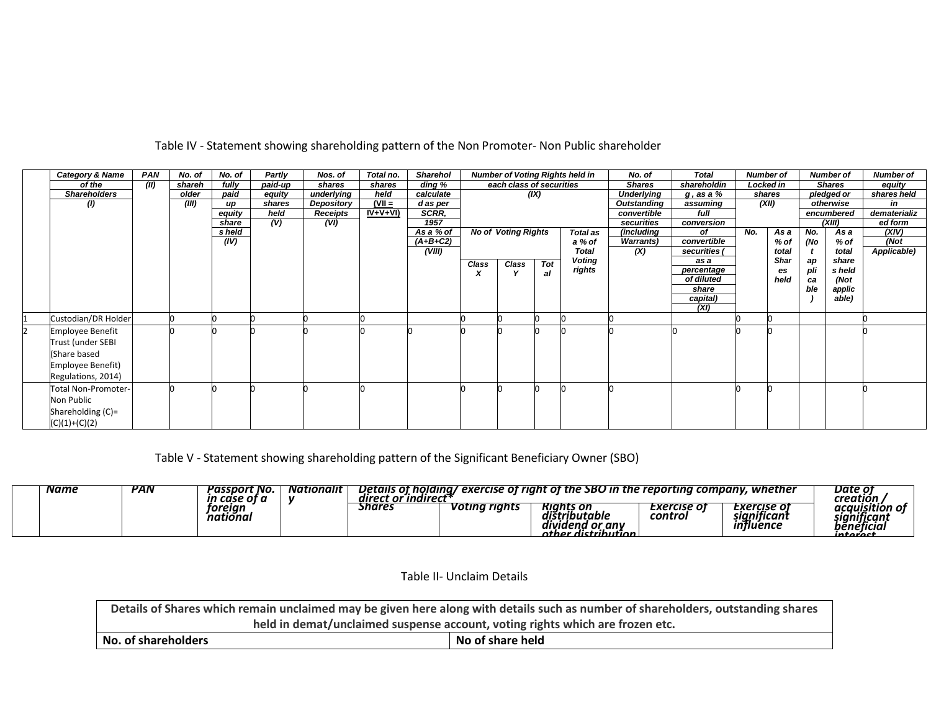| Category & Name            | <b>PAN</b> | No. of | No. of | Partly  | Nos. of    | Total no.     | <b>Sharehol</b> |       |                            |      | <b>Number of Voting Rights held in</b> | No. of            | <b>Total</b> |     | <b>Number of</b> |     | <b>Number of</b> | <b>Number of</b> |
|----------------------------|------------|--------|--------|---------|------------|---------------|-----------------|-------|----------------------------|------|----------------------------------------|-------------------|--------------|-----|------------------|-----|------------------|------------------|
| of the                     | (II)       | shareh | fully  | paid-up | shares     | shares        | ding %          |       | each class of securities   |      |                                        | <b>Shares</b>     | shareholdin  |     | Locked in        |     | <b>Shares</b>    | equity           |
| <b>Shareholders</b>        |            | older  | paid   | equity  | underlying | held          | calculate       |       |                            | (IX) |                                        | <b>Underlying</b> | g, as a %    |     | shares           |     | pledged or       | shares held      |
| (1)                        |            | (III)  | up     | shares  | Depository | $(VII =$      | d as per        |       |                            |      |                                        | Outstanding       | assuming     |     | (XII)            |     | otherwise        | in               |
|                            |            |        | equity | held    | Receipts   | $IV + V + VI$ | SCRR.           |       |                            |      |                                        | convertible       | full         |     |                  |     | encumbered       | dematerializ     |
|                            |            |        | share  | (V)     | (VI)       |               | 1957            |       |                            |      |                                        | securities        | conversion   |     |                  |     | (XIII)           | ed form          |
|                            |            |        | s held |         |            |               | As a % of       |       | <b>No of Voting Rights</b> |      | Total as                               | (including        | of           | No. | As a             | No. | As a             | (XIV)            |
|                            |            |        | (IV)   |         |            |               | $(A+B+C2)$      |       |                            |      | a % of                                 | <b>Warrants</b> ) | convertible  |     | $%$ of           | (No | % of             | (Not             |
|                            |            |        |        |         |            |               | (VIII)          |       |                            |      | <b>Total</b>                           | (X)               | securities ( |     | total            |     | total            | Applicable)      |
|                            |            |        |        |         |            |               |                 | Class | Class                      | Tot  | <b>Voting</b>                          |                   | as a         |     | Shar             | ap  | share            |                  |
|                            |            |        |        |         |            |               |                 | x     |                            | al   | rights                                 |                   | percentage   |     | es               | pli | s held           |                  |
|                            |            |        |        |         |            |               |                 |       |                            |      |                                        |                   | of diluted   |     | held             | ca  | (Not             |                  |
|                            |            |        |        |         |            |               |                 |       |                            |      |                                        |                   | share        |     |                  | ble | applic           |                  |
|                            |            |        |        |         |            |               |                 |       |                            |      |                                        |                   | capital)     |     |                  |     | able)            |                  |
|                            |            |        |        |         |            |               |                 |       |                            |      |                                        |                   | (XI)         |     |                  |     |                  |                  |
| Custodian/DR Holder        |            |        |        |         |            |               |                 |       |                            |      |                                        |                   |              |     |                  |     |                  |                  |
| <b>Employee Benefit</b>    |            |        |        |         |            |               |                 |       |                            |      |                                        |                   |              |     |                  |     |                  |                  |
| Trust (under SEBI          |            |        |        |         |            |               |                 |       |                            |      |                                        |                   |              |     |                  |     |                  |                  |
| (Share based               |            |        |        |         |            |               |                 |       |                            |      |                                        |                   |              |     |                  |     |                  |                  |
|                            |            |        |        |         |            |               |                 |       |                            |      |                                        |                   |              |     |                  |     |                  |                  |
| Employee Benefit)          |            |        |        |         |            |               |                 |       |                            |      |                                        |                   |              |     |                  |     |                  |                  |
| Regulations, 2014)         |            |        |        |         |            |               |                 |       |                            |      |                                        |                   |              |     |                  |     |                  |                  |
| <b>Total Non-Promoter-</b> |            |        |        |         |            |               |                 |       |                            |      |                                        |                   |              |     |                  |     |                  |                  |
| Non Public                 |            |        |        |         |            |               |                 |       |                            |      |                                        |                   |              |     |                  |     |                  |                  |
| Shareholding $(C)$ =       |            |        |        |         |            |               |                 |       |                            |      |                                        |                   |              |     |                  |     |                  |                  |
|                            |            |        |        |         |            |               |                 |       |                            |      |                                        |                   |              |     |                  |     |                  |                  |
| $(C)(1)+(C)(2)$            |            |        |        |         |            |               |                 |       |                            |      |                                        |                   |              |     |                  |     |                  |                  |

Table IV - Statement showing shareholding pattern of the Non Promoter- Non Public shareholder

Table V - Statement showing shareholding pattern of the Significant Beneficiary Owner (SBO)

| Name | <b>PAN</b> | t NO.<br>'asspor | Nationalit<br>$\cdot$ | Detail.<br>olainc<br><i><b>Indirec</b></i><br>aıra | . AVOI.<br>exercise of | · tne<br>rıanı<br>oг<br>эd                                                            | J in the reportina                                             | wnetnei<br>companv.                                        | rrnm                        |
|------|------------|------------------|-----------------------|----------------------------------------------------|------------------------|---------------------------------------------------------------------------------------|----------------------------------------------------------------|------------------------------------------------------------|-----------------------------|
|      |            | toreiar<br>tiona |                       | <b>Shares</b>                                      | riaht.<br>otina '      | ∙ on<br>ĸıan<br>ributable<br>aıs<br>i or anv<br>an<br>naena<br>distribution.<br>nthoi | $\overline{\mathbf{v}}$<br>rrico<br>IJ<br>-1 LISL .<br>control | ise of<br>ᆈ<br>niticani<br>sıar<br><i><b>Influence</b></i> | venenciu<br><u>intoraci</u> |

Table II- Unclaim Details

|                                         | Details of Shares which remain unclaimed may be given here along with details such as number of shareholders, outstanding shares |  |  |  |  |  |  |  |
|-----------------------------------------|----------------------------------------------------------------------------------------------------------------------------------|--|--|--|--|--|--|--|
|                                         | held in demat/unclaimed suspense account, voting rights which are frozen etc.                                                    |  |  |  |  |  |  |  |
| No of share held<br>No. of shareholders |                                                                                                                                  |  |  |  |  |  |  |  |